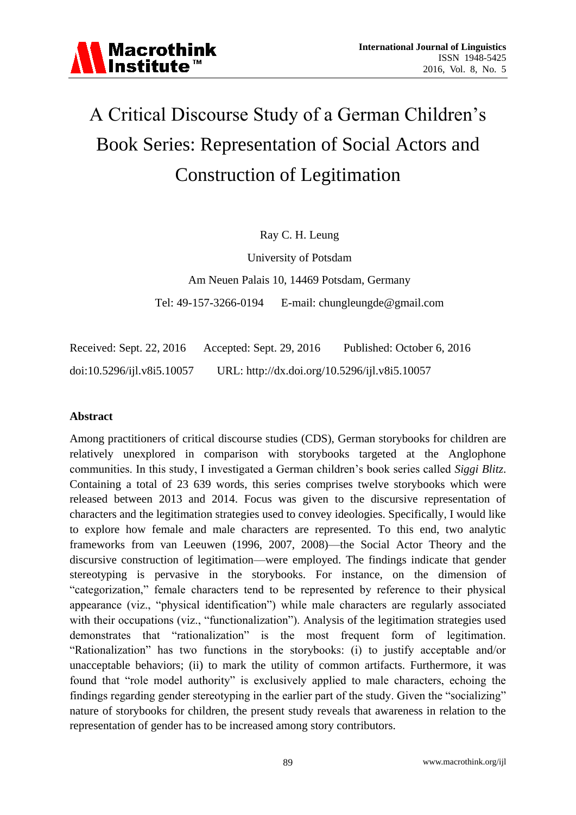# A Critical Discourse Study of a German Children's Book Series: Representation of Social Actors and Construction of Legitimation

Ray C. H. Leung

University of Potsdam

Am Neuen Palais 10, 14469 Potsdam, Germany

Tel: 49-157-3266-0194 E-mail: chungleungde@gmail.com

Received: Sept. 22, 2016 Accepted: Sept. 29, 2016 Published: October 6, 2016 doi:10.5296/ijl.v8i5.10057 URL: http://dx.doi.org/10.5296/ijl.v8i5.10057

### **Abstract**

Among practitioners of critical discourse studies (CDS), German storybooks for children are relatively unexplored in comparison with storybooks targeted at the Anglophone communities. In this study, I investigated a German children's book series called *Siggi Blitz*. Containing a total of 23 639 words, this series comprises twelve storybooks which were released between 2013 and 2014. Focus was given to the discursive representation of characters and the legitimation strategies used to convey ideologies. Specifically, I would like to explore how female and male characters are represented. To this end, two analytic frameworks from van Leeuwen (1996, 2007, 2008)—the Social Actor Theory and the discursive construction of legitimation—were employed. The findings indicate that gender stereotyping is pervasive in the storybooks. For instance, on the dimension of "categorization," female characters tend to be represented by reference to their physical appearance (viz., "physical identification") while male characters are regularly associated with their occupations (viz., "functionalization"). Analysis of the legitimation strategies used demonstrates that "rationalization" is the most frequent form of legitimation. "Rationalization" has two functions in the storybooks: (i) to justify acceptable and/or unacceptable behaviors; (ii) to mark the utility of common artifacts. Furthermore, it was found that "role model authority" is exclusively applied to male characters, echoing the findings regarding gender stereotyping in the earlier part of the study. Given the "socializing" nature of storybooks for children, the present study reveals that awareness in relation to the representation of gender has to be increased among story contributors.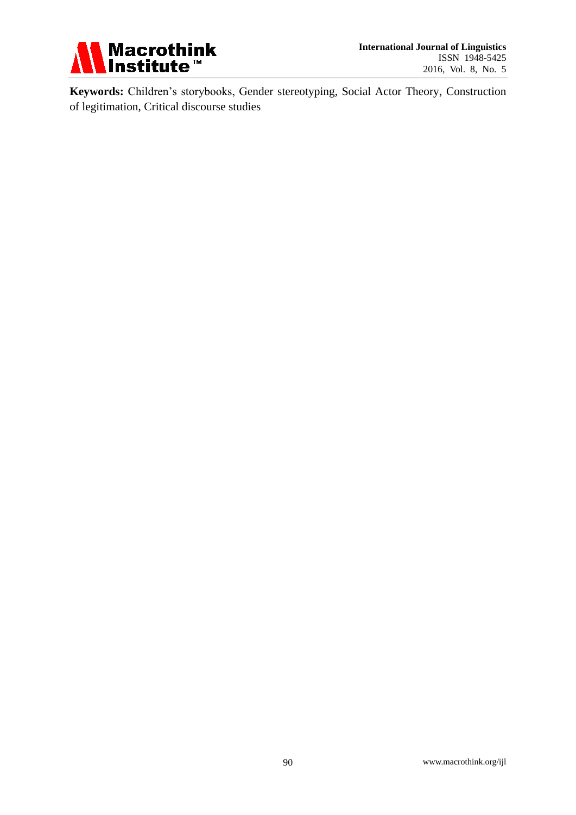

**Keywords:** Children's storybooks, Gender stereotyping, Social Actor Theory, Construction of legitimation, Critical discourse studies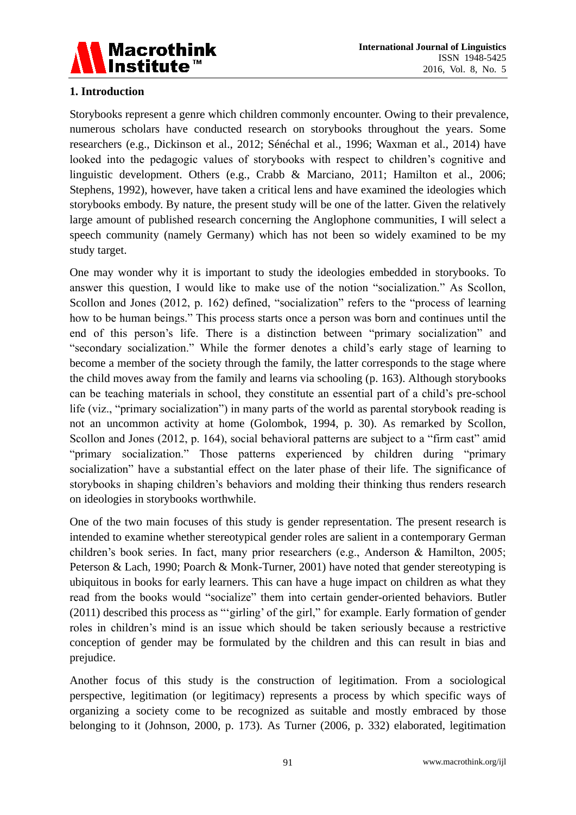

## **1. Introduction**

Storybooks represent a genre which children commonly encounter. Owing to their prevalence, numerous scholars have conducted research on storybooks throughout the years. Some researchers (e.g., Dickinson et al., 2012; Sénéchal et al., 1996; Waxman et al., 2014) have looked into the pedagogic values of storybooks with respect to children's cognitive and linguistic development. Others (e.g., Crabb & Marciano, 2011; Hamilton et al., 2006; Stephens, 1992), however, have taken a critical lens and have examined the ideologies which storybooks embody. By nature, the present study will be one of the latter. Given the relatively large amount of published research concerning the Anglophone communities, I will select a speech community (namely Germany) which has not been so widely examined to be my study target.

One may wonder why it is important to study the ideologies embedded in storybooks. To answer this question, I would like to make use of the notion "socialization." As Scollon, Scollon and Jones (2012, p. 162) defined, "socialization" refers to the "process of learning how to be human beings." This process starts once a person was born and continues until the end of this person's life. There is a distinction between "primary socialization" and "secondary socialization." While the former denotes a child's early stage of learning to become a member of the society through the family, the latter corresponds to the stage where the child moves away from the family and learns via schooling (p. 163). Although storybooks can be teaching materials in school, they constitute an essential part of a child's pre-school life (viz., "primary socialization") in many parts of the world as parental storybook reading is not an uncommon activity at home (Golombok, 1994, p. 30). As remarked by Scollon, Scollon and Jones (2012, p. 164), social behavioral patterns are subject to a "firm cast" amid "primary socialization." Those patterns experienced by children during "primary socialization" have a substantial effect on the later phase of their life. The significance of storybooks in shaping children's behaviors and molding their thinking thus renders research on ideologies in storybooks worthwhile.

One of the two main focuses of this study is gender representation. The present research is intended to examine whether stereotypical gender roles are salient in a contemporary German children's book series. In fact, many prior researchers (e.g., Anderson & Hamilton, 2005; Peterson & Lach, 1990; Poarch & Monk-Turner, 2001) have noted that gender stereotyping is ubiquitous in books for early learners. This can have a huge impact on children as what they read from the books would "socialize" them into certain gender-oriented behaviors. Butler (2011) described this process as "'girling' of the girl," for example. Early formation of gender roles in children's mind is an issue which should be taken seriously because a restrictive conception of gender may be formulated by the children and this can result in bias and prejudice.

Another focus of this study is the construction of legitimation. From a sociological perspective, legitimation (or legitimacy) represents a process by which specific ways of organizing a society come to be recognized as suitable and mostly embraced by those belonging to it (Johnson, 2000, p. 173). As Turner (2006, p. 332) elaborated, legitimation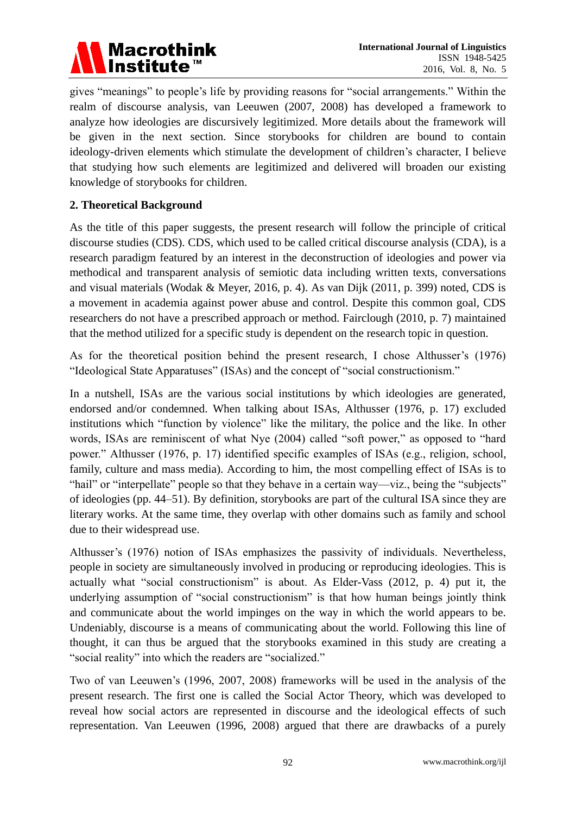

gives "meanings" to people's life by providing reasons for "social arrangements." Within the realm of discourse analysis, van Leeuwen (2007, 2008) has developed a framework to analyze how ideologies are discursively legitimized. More details about the framework will be given in the next section. Since storybooks for children are bound to contain ideology-driven elements which stimulate the development of children's character, I believe that studying how such elements are legitimized and delivered will broaden our existing knowledge of storybooks for children.

# **2. Theoretical Background**

As the title of this paper suggests, the present research will follow the principle of critical discourse studies (CDS). CDS, which used to be called critical discourse analysis (CDA), is a research paradigm featured by an interest in the deconstruction of ideologies and power via methodical and transparent analysis of semiotic data including written texts, conversations and visual materials (Wodak & Meyer, 2016, p. 4). As van Dijk (2011, p. 399) noted, CDS is a movement in academia against power abuse and control. Despite this common goal, CDS researchers do not have a prescribed approach or method. Fairclough (2010, p. 7) maintained that the method utilized for a specific study is dependent on the research topic in question.

As for the theoretical position behind the present research, I chose Althusser's (1976) "Ideological State Apparatuses" (ISAs) and the concept of "social constructionism."

In a nutshell, ISAs are the various social institutions by which ideologies are generated, endorsed and/or condemned. When talking about ISAs, Althusser (1976, p. 17) excluded institutions which "function by violence" like the military, the police and the like. In other words, ISAs are reminiscent of what Nye (2004) called "soft power," as opposed to "hard power." Althusser (1976, p. 17) identified specific examples of ISAs (e.g., religion, school, family, culture and mass media). According to him, the most compelling effect of ISAs is to "hail" or "interpellate" people so that they behave in a certain way—viz., being the "subjects" of ideologies (pp. 44–51). By definition, storybooks are part of the cultural ISA since they are literary works. At the same time, they overlap with other domains such as family and school due to their widespread use.

Althusser's (1976) notion of ISAs emphasizes the passivity of individuals. Nevertheless, people in society are simultaneously involved in producing or reproducing ideologies. This is actually what "social constructionism" is about. As Elder-Vass (2012, p. 4) put it, the underlying assumption of "social constructionism" is that how human beings jointly think and communicate about the world impinges on the way in which the world appears to be. Undeniably, discourse is a means of communicating about the world. Following this line of thought, it can thus be argued that the storybooks examined in this study are creating a "social reality" into which the readers are "socialized."

Two of van Leeuwen's (1996, 2007, 2008) frameworks will be used in the analysis of the present research. The first one is called the Social Actor Theory, which was developed to reveal how social actors are represented in discourse and the ideological effects of such representation. Van Leeuwen (1996, 2008) argued that there are drawbacks of a purely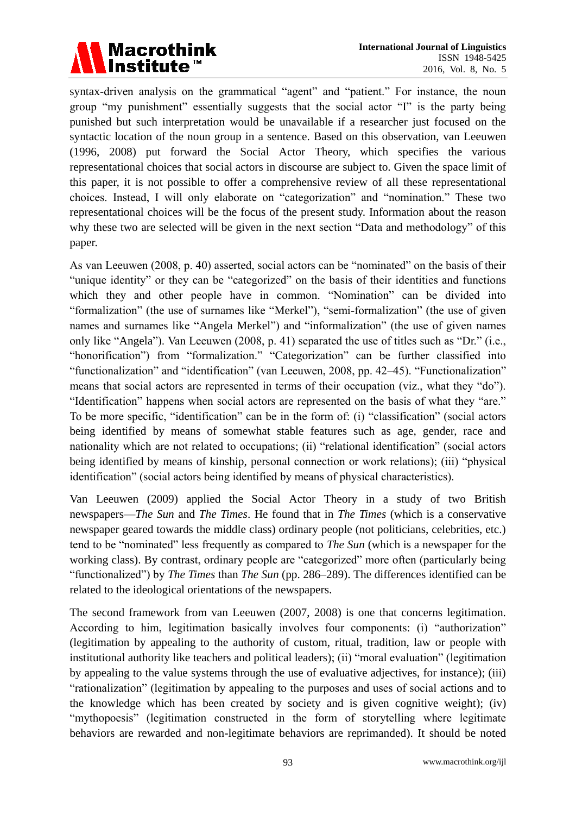

syntax-driven analysis on the grammatical "agent" and "patient." For instance, the noun group "my punishment" essentially suggests that the social actor "I" is the party being punished but such interpretation would be unavailable if a researcher just focused on the syntactic location of the noun group in a sentence. Based on this observation, van Leeuwen (1996, 2008) put forward the Social Actor Theory, which specifies the various representational choices that social actors in discourse are subject to. Given the space limit of this paper, it is not possible to offer a comprehensive review of all these representational choices. Instead, I will only elaborate on "categorization" and "nomination." These two representational choices will be the focus of the present study. Information about the reason why these two are selected will be given in the next section "Data and methodology" of this paper.

As van Leeuwen (2008, p. 40) asserted, social actors can be "nominated" on the basis of their "unique identity" or they can be "categorized" on the basis of their identities and functions which they and other people have in common. "Nomination" can be divided into "formalization" (the use of surnames like "Merkel"), "semi-formalization" (the use of given names and surnames like "Angela Merkel") and "informalization" (the use of given names only like "Angela"). Van Leeuwen (2008, p. 41) separated the use of titles such as "Dr." (i.e., "honorification") from "formalization." "Categorization" can be further classified into "functionalization" and "identification" (van Leeuwen, 2008, pp. 42–45). "Functionalization" means that social actors are represented in terms of their occupation (viz., what they "do"). "Identification" happens when social actors are represented on the basis of what they "are." To be more specific, "identification" can be in the form of: (i) "classification" (social actors being identified by means of somewhat stable features such as age, gender, race and nationality which are not related to occupations; (ii) "relational identification" (social actors being identified by means of kinship, personal connection or work relations); (iii) "physical identification" (social actors being identified by means of physical characteristics).

Van Leeuwen (2009) applied the Social Actor Theory in a study of two British newspapers—*The Sun* and *The Times*. He found that in *The Times* (which is a conservative newspaper geared towards the middle class) ordinary people (not politicians, celebrities, etc.) tend to be "nominated" less frequently as compared to *The Sun* (which is a newspaper for the working class). By contrast, ordinary people are "categorized" more often (particularly being "functionalized") by *The Times* than *The Sun* (pp. 286–289). The differences identified can be related to the ideological orientations of the newspapers.

The second framework from van Leeuwen (2007, 2008) is one that concerns legitimation. According to him, legitimation basically involves four components: (i) "authorization" (legitimation by appealing to the authority of custom, ritual, tradition, law or people with institutional authority like teachers and political leaders); (ii) "moral evaluation" (legitimation by appealing to the value systems through the use of evaluative adjectives, for instance); (iii) "rationalization" (legitimation by appealing to the purposes and uses of social actions and to the knowledge which has been created by society and is given cognitive weight); (iv) "mythopoesis" (legitimation constructed in the form of storytelling where legitimate behaviors are rewarded and non-legitimate behaviors are reprimanded). It should be noted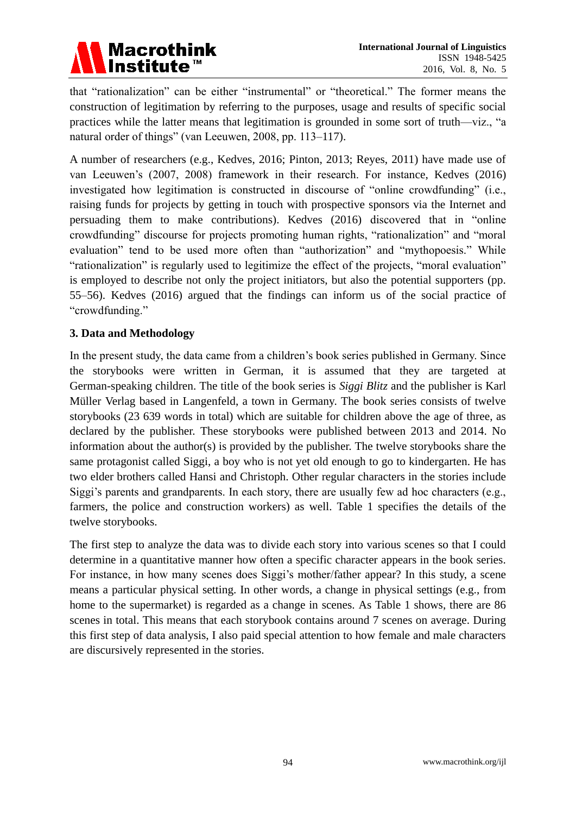

that "rationalization" can be either "instrumental" or "theoretical." The former means the construction of legitimation by referring to the purposes, usage and results of specific social practices while the latter means that legitimation is grounded in some sort of truth—viz., "a natural order of things" (van Leeuwen, 2008, pp. 113–117).

A number of researchers (e.g., Kedves, 2016; Pinton, 2013; Reyes, 2011) have made use of van Leeuwen's (2007, 2008) framework in their research. For instance, Kedves (2016) investigated how legitimation is constructed in discourse of "online crowdfunding" (i.e., raising funds for projects by getting in touch with prospective sponsors via the Internet and persuading them to make contributions). Kedves (2016) discovered that in "online crowdfunding" discourse for projects promoting human rights, "rationalization" and "moral evaluation" tend to be used more often than "authorization" and "mythopoesis." While "rationalization" is regularly used to legitimize the effect of the projects, "moral evaluation" is employed to describe not only the project initiators, but also the potential supporters (pp. 55–56). Kedves (2016) argued that the findings can inform us of the social practice of "crowdfunding."

## **3. Data and Methodology**

In the present study, the data came from a children's book series published in Germany. Since the storybooks were written in German, it is assumed that they are targeted at German-speaking children. The title of the book series is *Siggi Blitz* and the publisher is Karl Müller Verlag based in Langenfeld, a town in Germany. The book series consists of twelve storybooks (23 639 words in total) which are suitable for children above the age of three, as declared by the publisher. These storybooks were published between 2013 and 2014. No information about the author(s) is provided by the publisher. The twelve storybooks share the same protagonist called Siggi, a boy who is not yet old enough to go to kindergarten. He has two elder brothers called Hansi and Christoph. Other regular characters in the stories include Siggi's parents and grandparents. In each story, there are usually few ad hoc characters (e.g., farmers, the police and construction workers) as well. Table 1 specifies the details of the twelve storybooks.

The first step to analyze the data was to divide each story into various scenes so that I could determine in a quantitative manner how often a specific character appears in the book series. For instance, in how many scenes does Siggi's mother/father appear? In this study, a scene means a particular physical setting. In other words, a change in physical settings (e.g., from home to the supermarket) is regarded as a change in scenes. As Table 1 shows, there are 86 scenes in total. This means that each storybook contains around 7 scenes on average. During this first step of data analysis, I also paid special attention to how female and male characters are discursively represented in the stories.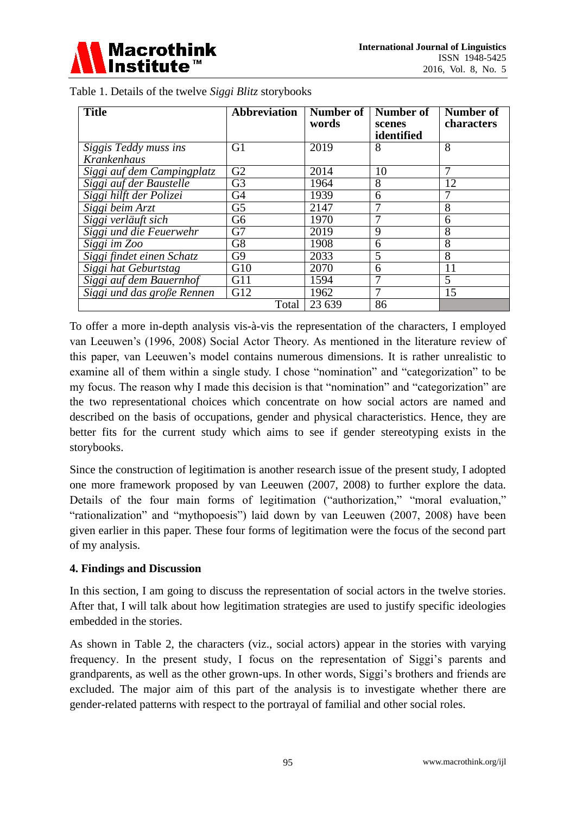

| <b>Title</b>                         | Abbreviation    | Number of<br>words | Number of<br>scenes<br>identified | Number of<br>characters |
|--------------------------------------|-----------------|--------------------|-----------------------------------|-------------------------|
| Siggis Teddy muss ins<br>Krankenhaus | G <sub>1</sub>  | 2019               | 8                                 | 8                       |
| Siggi auf dem Campingplatz           | G <sub>2</sub>  | 2014               | 10                                |                         |
| Siggi auf der Baustelle              | $\overline{G3}$ | 1964               | 8                                 | 12                      |
| Siggi hilft der Polizei              | G <sub>4</sub>  | 1939               | 6                                 |                         |
| Siggi beim Arzt                      | G <sub>5</sub>  | 2147               |                                   | 8                       |
| Siggi verläuft sich                  | G <sub>6</sub>  | 1970               |                                   | 6                       |
| Siggi und die Feuerwehr              | G7              | 2019               | 9                                 | 8                       |
| Siggi im Zoo                         | G <sub>8</sub>  | 1908               | 6                                 | 8                       |
| Siggi findet einen Schatz            | G <sub>9</sub>  | 2033               | 5                                 | 8                       |
| Siggi hat Geburtstag                 | G10             | 2070               | 6                                 | 11                      |
| Siggi auf dem Bauernhof              | G11             | 1594               |                                   | 5                       |
| Siggi und das große Rennen           | G12             | 1962               |                                   | 15                      |
|                                      | Total           | 23 639             | 86                                |                         |

Table 1. Details of the twelve *Siggi Blitz* storybooks

To offer a more in-depth analysis vis- $\lambda$ -vis the representation of the characters, I employed van Leeuwen's (1996, 2008) Social Actor Theory. As mentioned in the literature review of this paper, van Leeuwen's model contains numerous dimensions. It is rather unrealistic to examine all of them within a single study. I chose "nomination" and "categorization" to be my focus. The reason why I made this decision is that "nomination" and "categorization" are the two representational choices which concentrate on how social actors are named and described on the basis of occupations, gender and physical characteristics. Hence, they are better fits for the current study which aims to see if gender stereotyping exists in the storybooks.

Since the construction of legitimation is another research issue of the present study, I adopted one more framework proposed by van Leeuwen (2007, 2008) to further explore the data. Details of the four main forms of legitimation ("authorization," "moral evaluation," "rationalization" and "mythopoesis") laid down by van Leeuwen (2007, 2008) have been given earlier in this paper. These four forms of legitimation were the focus of the second part of my analysis.

### **4. Findings and Discussion**

In this section, I am going to discuss the representation of social actors in the twelve stories. After that, I will talk about how legitimation strategies are used to justify specific ideologies embedded in the stories.

As shown in Table 2, the characters (viz., social actors) appear in the stories with varying frequency. In the present study, I focus on the representation of Siggi's parents and grandparents, as well as the other grown-ups. In other words, Siggi's brothers and friends are excluded. The major aim of this part of the analysis is to investigate whether there are gender-related patterns with respect to the portrayal of familial and other social roles.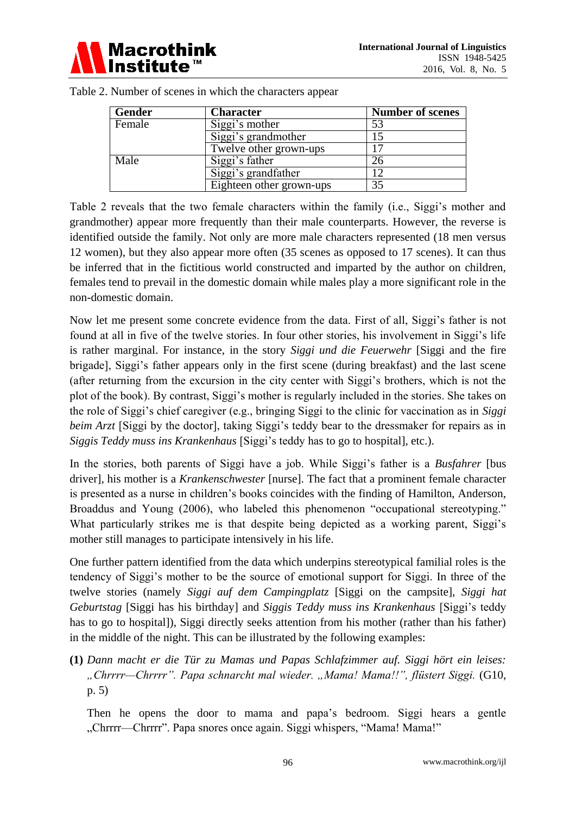

| Gender | <b>Character</b>         | <b>Number of scenes</b> |
|--------|--------------------------|-------------------------|
| Female | Siggi's mother           | 53                      |
|        | Siggi's grandmother      |                         |
|        | Twelve other grown-ups   |                         |
| Male   | Siggi's father           | 26                      |
|        | Siggi's grandfather      | 12 <sup>°</sup>         |
|        | Eighteen other grown-ups | 35                      |

Table 2. Number of scenes in which the characters appear

Table 2 reveals that the two female characters within the family (i.e., Siggi's mother and grandmother) appear more frequently than their male counterparts. However, the reverse is identified outside the family. Not only are more male characters represented (18 men versus 12 women), but they also appear more often (35 scenes as opposed to 17 scenes). It can thus be inferred that in the fictitious world constructed and imparted by the author on children, females tend to prevail in the domestic domain while males play a more significant role in the non-domestic domain.

Now let me present some concrete evidence from the data. First of all, Siggi's father is not found at all in five of the twelve stories. In four other stories, his involvement in Siggi's life is rather marginal. For instance, in the story *Siggi und die Feuerwehr* [Siggi and the fire brigade], Siggi's father appears only in the first scene (during breakfast) and the last scene (after returning from the excursion in the city center with Siggi's brothers, which is not the plot of the book). By contrast, Siggi's mother is regularly included in the stories. She takes on the role of Siggi's chief caregiver (e.g., bringing Siggi to the clinic for vaccination as in *Siggi beim Arzt* [Siggi by the doctor], taking Siggi's teddy bear to the dressmaker for repairs as in *Siggis Teddy muss ins Krankenhaus* [Siggi's teddy has to go to hospital], etc.).

In the stories, both parents of Siggi have a job. While Siggi's father is a *Busfahrer* [bus driver], his mother is a *Krankenschwester* [nurse]. The fact that a prominent female character is presented as a nurse in children's books coincides with the finding of Hamilton, Anderson, Broaddus and Young (2006), who labeled this phenomenon "occupational stereotyping." What particularly strikes me is that despite being depicted as a working parent, Siggi's mother still manages to participate intensively in his life.

One further pattern identified from the data which underpins stereotypical familial roles is the tendency of Siggi's mother to be the source of emotional support for Siggi. In three of the twelve stories (namely *Siggi auf dem Campingplatz* [Siggi on the campsite], *Siggi hat Geburtstag* [Siggi has his birthday] and *Siggis Teddy muss ins Krankenhaus* [Siggi's teddy has to go to hospital]), Siggi directly seeks attention from his mother (rather than his father) in the middle of the night. This can be illustrated by the following examples:

**(1)** *Dann macht er die Tür zu Mamas und Papas Schlafzimmer auf. Siggi hört ein leises: "Chrrrr—Chrrrr". Papa schnarcht mal wieder. "Mama! Mama!!", flüstert Siggi.* (G10, p. 5)

Then he opens the door to mama and papa's bedroom. Siggi hears a gentle "Chrrrr—Chrrrr". Papa snores once again. Siggi whispers, "Mama! Mama!"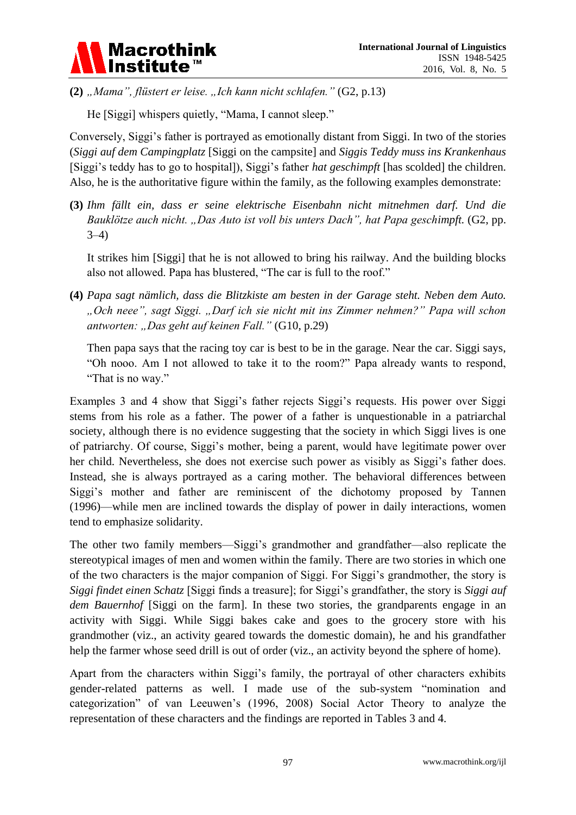

**(2)** *"Mama", flüstert er leise. "Ich kann nicht schlafen."* (G2, p.13)

He [Siggi] whispers quietly, "Mama, I cannot sleep."

Conversely, Siggi's father is portrayed as emotionally distant from Siggi. In two of the stories (*Siggi auf dem Campingplatz* [Siggi on the campsite] and *Siggis Teddy muss ins Krankenhaus* [Siggi's teddy has to go to hospital]), Siggi's father *hat geschimpft* [has scolded] the children. Also, he is the authoritative figure within the family, as the following examples demonstrate:

**(3)** *Ihm fällt ein, dass er seine elektrische Eisenbahn nicht mitnehmen darf. Und die Bauklötze auch nicht. "Das Auto ist voll bis unters Dach", hat Papa geschimpft.* (G2, pp. 3–4)

It strikes him [Siggi] that he is not allowed to bring his railway. And the building blocks also not allowed. Papa has blustered, "The car is full to the roof."

**(4)** *Papa sagt nämlich, dass die Blitzkiste am besten in der Garage steht. Neben dem Auto. "Och neee", sagt Siggi. "Darf ich sie nicht mit ins Zimmer nehmen?" Papa will schon antworten: "Das geht auf keinen Fall."* (G10, p.29)

Then papa says that the racing toy car is best to be in the garage. Near the car. Siggi says, "Oh nooo. Am I not allowed to take it to the room?" Papa already wants to respond, "That is no way."

Examples 3 and 4 show that Siggi's father rejects Siggi's requests. His power over Siggi stems from his role as a father. The power of a father is unquestionable in a patriarchal society, although there is no evidence suggesting that the society in which Siggi lives is one of patriarchy. Of course, Siggi's mother, being a parent, would have legitimate power over her child. Nevertheless, she does not exercise such power as visibly as Siggi's father does. Instead, she is always portrayed as a caring mother. The behavioral differences between Siggi's mother and father are reminiscent of the dichotomy proposed by Tannen (1996)—while men are inclined towards the display of power in daily interactions, women tend to emphasize solidarity.

The other two family members—Siggi's grandmother and grandfather—also replicate the stereotypical images of men and women within the family. There are two stories in which one of the two characters is the major companion of Siggi. For Siggi's grandmother, the story is *Siggi findet einen Schatz* [Siggi finds a treasure]; for Siggi's grandfather, the story is *Siggi auf dem Bauernhof* [Siggi on the farm]. In these two stories, the grandparents engage in an activity with Siggi. While Siggi bakes cake and goes to the grocery store with his grandmother (viz., an activity geared towards the domestic domain), he and his grandfather help the farmer whose seed drill is out of order (viz., an activity beyond the sphere of home).

Apart from the characters within Siggi's family, the portrayal of other characters exhibits gender-related patterns as well. I made use of the sub-system "nomination and categorization" of van Leeuwen's (1996, 2008) Social Actor Theory to analyze the representation of these characters and the findings are reported in Tables 3 and 4.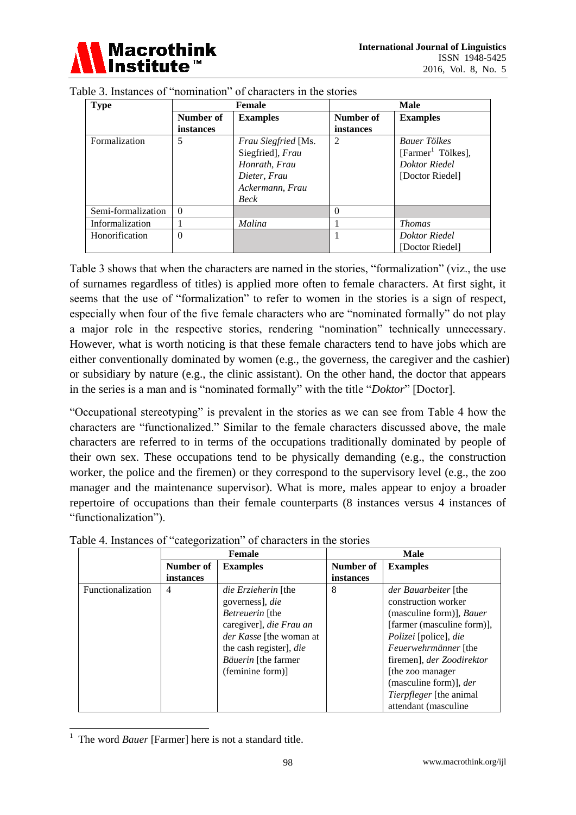

| <b>Type</b>        | <b>Female</b>    |                     | <b>Male</b>      |                               |
|--------------------|------------------|---------------------|------------------|-------------------------------|
|                    | Number of        | <b>Examples</b>     | Number of        | <b>Examples</b>               |
|                    | <i>instances</i> |                     | <i>instances</i> |                               |
| Formalization      | 5                | Frau Siegfried [Ms. | 2                | Bauer Tölkes                  |
|                    |                  | Siegfried], Frau    |                  | [Farmer <sup>1</sup> Tölkes], |
|                    |                  | Honrath, Frau       |                  | <b>Doktor Riedel</b>          |
|                    |                  | Dieter, Frau        |                  | [Doctor Riedel]               |
|                    |                  | Ackermann, Frau     |                  |                               |
|                    |                  | Beck                |                  |                               |
| Semi-formalization | $\Omega$         |                     | $\theta$         |                               |
| Informalization    |                  | Malina              |                  | <b>Thomas</b>                 |
| Honorification     | $\theta$         |                     | 1                | Doktor Riedel                 |
|                    |                  |                     |                  | [Doctor Riedel]               |

Table 3. Instances of "nomination" of characters in the stories

Table 3 shows that when the characters are named in the stories, "formalization" (viz., the use of surnames regardless of titles) is applied more often to female characters. At first sight, it seems that the use of "formalization" to refer to women in the stories is a sign of respect, especially when four of the five female characters who are "nominated formally" do not play a major role in the respective stories, rendering "nomination" technically unnecessary. However, what is worth noticing is that these female characters tend to have jobs which are either conventionally dominated by women (e.g., the governess, the caregiver and the cashier) or subsidiary by nature (e.g., the clinic assistant). On the other hand, the doctor that appears in the series is a man and is "nominated formally" with the title "*Doktor*" [Doctor].

"Occupational stereotyping" is prevalent in the stories as we can see from Table 4 how the characters are "functionalized." Similar to the female characters discussed above, the male characters are referred to in terms of the occupations traditionally dominated by people of their own sex. These occupations tend to be physically demanding (e.g., the construction worker, the police and the firemen) or they correspond to the supervisory level (e.g., the zoo manager and the maintenance supervisor). What is more, males appear to enjoy a broader repertoire of occupations than their female counterparts (8 instances versus 4 instances of "functionalization").

|                          | <b>Female</b>  |                             | Male             |                                 |
|--------------------------|----------------|-----------------------------|------------------|---------------------------------|
|                          | Number of      | <b>Examples</b>             | Number of        | <b>Examples</b>                 |
|                          | instances      |                             | <i>instances</i> |                                 |
| <b>Functionalization</b> | $\overline{4}$ | <i>die Erzieherin</i> [the  | 8                | <i>der Bauarbeiter</i> [the     |
|                          |                | governess], die             |                  | construction worker             |
|                          |                | <i>Betreuerin</i> [the      |                  | (masculine form)], <i>Bauer</i> |
|                          |                | caregiver], die Frau an     |                  | [farmer (masculine form)],      |
|                          |                | der Kasse [the woman at     |                  | <i>Polizei</i> [police], die    |
|                          |                | the cash register], die     |                  | Feuerwehrmänner [the            |
|                          |                | <i>B</i> duerin [the farmer |                  | firemen], der Zoodirektor       |
|                          |                | (feminine form)]            |                  | [the zoo manager]               |
|                          |                |                             |                  | (masculine form), <i>der</i>    |
|                          |                |                             |                  | <i>Tierpfleger</i> [the animal] |
|                          |                |                             |                  | attendant (masculine            |

<u>.</u>

<sup>&</sup>lt;sup>1</sup> The word *Bauer* [Farmer] here is not a standard title.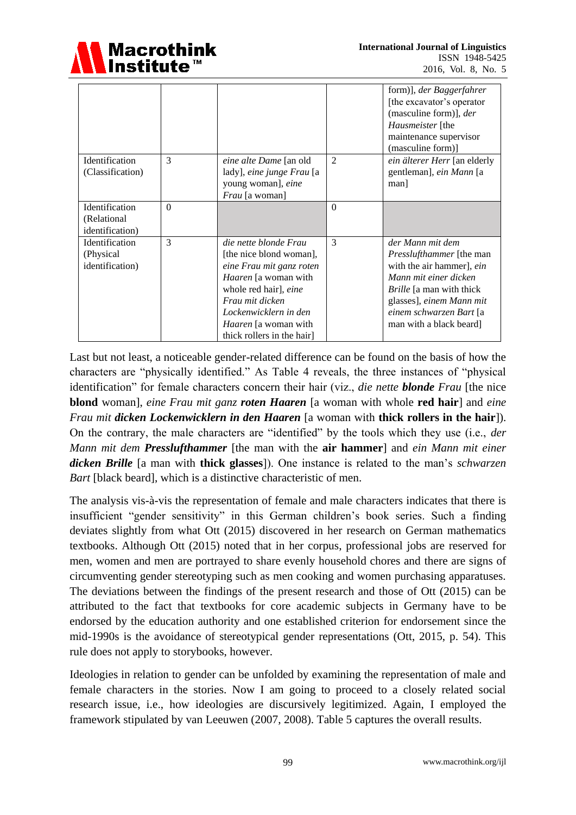

|                         |          |                                                 |                | form)], der Baggerfahrer<br>[the excavator's operator]<br>(masculine form)], der<br><i>Hausmeister</i> [the<br>maintenance supervisor<br>(masculine form)] |
|-------------------------|----------|-------------------------------------------------|----------------|------------------------------------------------------------------------------------------------------------------------------------------------------------|
| Identification          | 3        | eine alte Dame [an old                          | $\overline{2}$ | ein älterer Herr [an elderly                                                                                                                               |
| (Classification)        |          | lady], eine junge Frau [a<br>young woman], eine |                | gentleman], ein Mann [a<br>man                                                                                                                             |
|                         |          | <i>Frau</i> [a woman]                           |                |                                                                                                                                                            |
| Identification          | $\Omega$ |                                                 | $\Omega$       |                                                                                                                                                            |
| (Relational)            |          |                                                 |                |                                                                                                                                                            |
| identification)         |          |                                                 |                |                                                                                                                                                            |
| Identification          | 3        | die nette blonde Frau                           | 3              | der Mann mit dem                                                                                                                                           |
| (Physical               |          | [the nice blond woman],                         |                | Presslufthammer [the man                                                                                                                                   |
| <i>identification</i> ) |          | eine Frau mit ganz roten                        |                | with the air hammer], ein                                                                                                                                  |
|                         |          | Haaren [a woman with                            |                | Mann mit einer dicken                                                                                                                                      |
|                         |          | whole red hair], eine                           |                | <i>Brille</i> [a man with thick]                                                                                                                           |
|                         |          | Frau mit dicken                                 |                | glasses], einem Mann mit                                                                                                                                   |
|                         |          | Lockenwicklern in den                           |                | einem schwarzen Bart [a                                                                                                                                    |
|                         |          | <i>Haaren</i> [a woman with                     |                | man with a black beard]                                                                                                                                    |
|                         |          | thick rollers in the hair                       |                |                                                                                                                                                            |

Last but not least, a noticeable gender-related difference can be found on the basis of how the characters are "physically identified." As Table 4 reveals, the three instances of "physical identification" for female characters concern their hair (viz., *die nette blonde Frau* [the nice **blond** woman], *eine Frau mit ganz roten Haaren* [a woman with whole **red hair**] and *eine Frau mit dicken Lockenwicklern in den Haaren* [a woman with **thick rollers in the hair**]). On the contrary, the male characters are "identified" by the tools which they use (i.e., *der Mann mit dem Presslufthammer* [the man with the **air hammer**] and *ein Mann mit einer dicken Brille* [a man with **thick glasses**]). One instance is related to the man's *schwarzen Bart* [black beard], which is a distinctive characteristic of men.

The analysis vis- $\hat{\bf a}$ -vis the representation of female and male characters indicates that there is insufficient "gender sensitivity" in this German children's book series. Such a finding deviates slightly from what Ott (2015) discovered in her research on German mathematics textbooks. Although Ott (2015) noted that in her corpus, professional jobs are reserved for men, women and men are portrayed to share evenly household chores and there are signs of circumventing gender stereotyping such as men cooking and women purchasing apparatuses. The deviations between the findings of the present research and those of Ott (2015) can be attributed to the fact that textbooks for core academic subjects in Germany have to be endorsed by the education authority and one established criterion for endorsement since the mid-1990s is the avoidance of stereotypical gender representations (Ott, 2015, p. 54). This rule does not apply to storybooks, however.

Ideologies in relation to gender can be unfolded by examining the representation of male and female characters in the stories. Now I am going to proceed to a closely related social research issue, i.e., how ideologies are discursively legitimized. Again, I employed the framework stipulated by van Leeuwen (2007, 2008). Table 5 captures the overall results.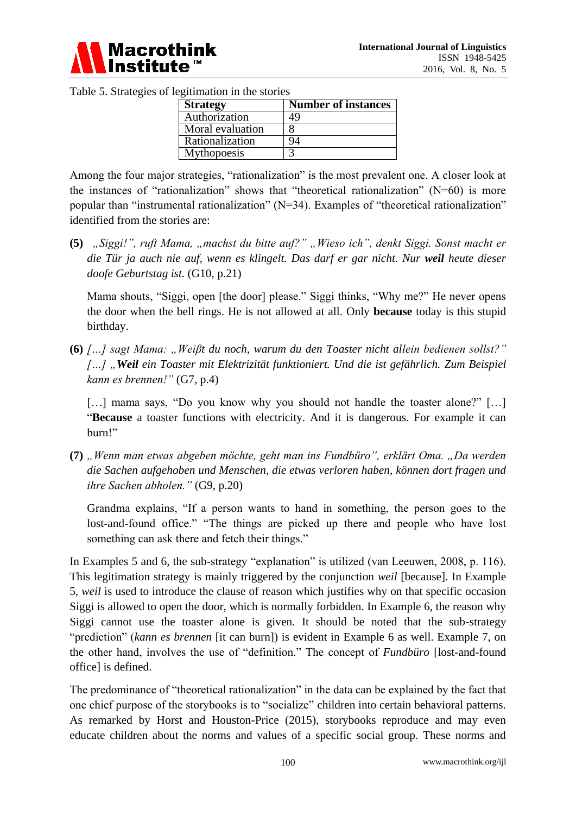

Table 5. Strategies of legitimation in the stories

| <b>Strategy</b>  | <b>Number of instances</b> |
|------------------|----------------------------|
| Authorization    | 49                         |
| Moral evaluation |                            |
| Rationalization  | 94                         |
| Mythopoesis      |                            |

Among the four major strategies, "rationalization" is the most prevalent one. A closer look at the instances of "rationalization" shows that "theoretical rationalization" (N=60) is more popular than "instrumental rationalization" (N=34). Examples of "theoretical rationalization" identified from the stories are:

**(5)** "Siggi!", ruft Mama, "machst du bitte auf?" "Wieso ich", denkt Siggi. Sonst macht er *die Tür ja auch nie auf, wenn es klingelt. Das darf er gar nicht. Nur weil heute dieser doofe Geburtstag ist.* (G10, p.21)

Mama shouts, "Siggi, open [the door] please." Siggi thinks, "Why me?" He never opens the door when the bell rings. He is not allowed at all. Only **because** today is this stupid birthday.

**(6)** *[…] sagt Mama: "Weiβt du noch, warum du den Toaster nicht allein bedienen sollst?" […] "Weil ein Toaster mit Elektrizität funktioniert. Und die ist gefährlich. Zum Beispiel kann es brennen!"* (G7, p.4)

[...] mama says, "Do you know why you should not handle the toaster alone?" [...] "**Because** a toaster functions with electricity. And it is dangerous. For example it can burn!"

**(7)** *"Wenn man etwas abgeben möchte, geht man ins Fundbüro", erklärt Oma. "Da werden die Sachen aufgehoben und Menschen, die etwas verloren haben, können dort fragen und ihre Sachen abholen."* (G9, p.20)

Grandma explains, "If a person wants to hand in something, the person goes to the lost-and-found office." "The things are picked up there and people who have lost something can ask there and fetch their things."

In Examples 5 and 6, the sub-strategy "explanation" is utilized (van Leeuwen, 2008, p. 116). This legitimation strategy is mainly triggered by the conjunction *weil* [because]. In Example 5, *weil* is used to introduce the clause of reason which justifies why on that specific occasion Siggi is allowed to open the door, which is normally forbidden. In Example 6, the reason why Siggi cannot use the toaster alone is given. It should be noted that the sub-strategy "prediction" (*kann es brennen* [it can burn]) is evident in Example 6 as well. Example 7, on the other hand, involves the use of "definition." The concept of *Fundbüro* [lost-and-found office] is defined.

The predominance of "theoretical rationalization" in the data can be explained by the fact that one chief purpose of the storybooks is to "socialize" children into certain behavioral patterns. As remarked by Horst and Houston-Price (2015), storybooks reproduce and may even educate children about the norms and values of a specific social group. These norms and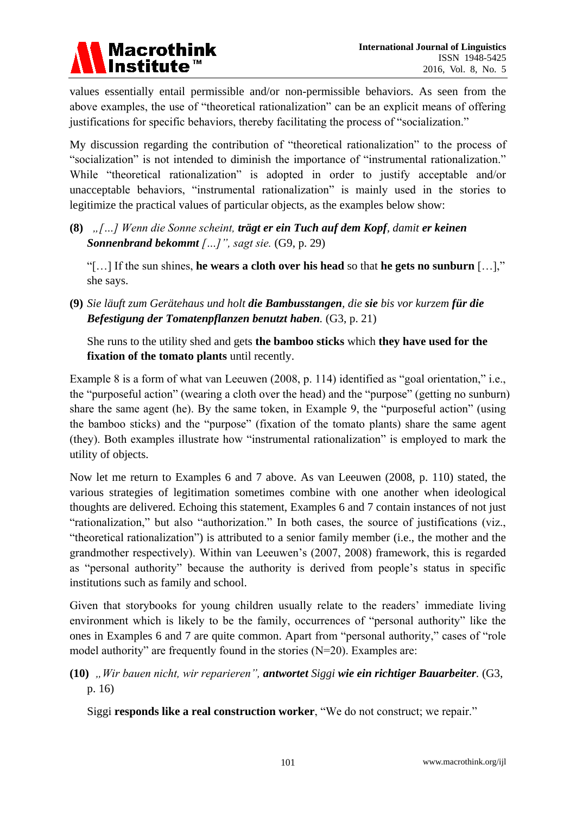

values essentially entail permissible and/or non-permissible behaviors. As seen from the above examples, the use of "theoretical rationalization" can be an explicit means of offering justifications for specific behaviors, thereby facilitating the process of "socialization."

My discussion regarding the contribution of "theoretical rationalization" to the process of "socialization" is not intended to diminish the importance of "instrumental rationalization." While "theoretical rationalization" is adopted in order to justify acceptable and/or unacceptable behaviors, "instrumental rationalization" is mainly used in the stories to legitimize the practical values of particular objects, as the examples below show:

**(8)** *"[…] Wenn die Sonne scheint, trägt er ein Tuch auf dem Kopf, damit er keinen Sonnenbrand bekommt […]", sagt sie.* (G9, p. 29)

"[…] If the sun shines, **he wears a cloth over his head** so that **he gets no sunburn** […]," she says.

**(9)** *Sie läuft zum Gerätehaus und holt die Bambusstangen, die sie bis vor kurzem für die Befestigung der Tomatenpflanzen benutzt haben.* (G3, p. 21)

She runs to the utility shed and gets **the bamboo sticks** which **they have used for the fixation of the tomato plants** until recently.

Example 8 is a form of what van Leeuwen (2008, p. 114) identified as "goal orientation," i.e., the "purposeful action" (wearing a cloth over the head) and the "purpose" (getting no sunburn) share the same agent (he). By the same token, in Example 9, the "purposeful action" (using the bamboo sticks) and the "purpose" (fixation of the tomato plants) share the same agent (they). Both examples illustrate how "instrumental rationalization" is employed to mark the utility of objects.

Now let me return to Examples 6 and 7 above. As van Leeuwen (2008, p. 110) stated, the various strategies of legitimation sometimes combine with one another when ideological thoughts are delivered. Echoing this statement, Examples 6 and 7 contain instances of not just "rationalization," but also "authorization." In both cases, the source of justifications (viz., "theoretical rationalization") is attributed to a senior family member (i.e., the mother and the grandmother respectively). Within van Leeuwen's (2007, 2008) framework, this is regarded as "personal authority" because the authority is derived from people's status in specific institutions such as family and school.

Given that storybooks for young children usually relate to the readers' immediate living environment which is likely to be the family, occurrences of "personal authority" like the ones in Examples 6 and 7 are quite common. Apart from "personal authority," cases of "role model authority" are frequently found in the stories (N=20). Examples are:

# **(10)** *"Wir bauen nicht, wir reparieren", antwortet Siggi wie ein richtiger Bauarbeiter.* (G3, p. 16)

Siggi **responds like a real construction worker**, "We do not construct; we repair."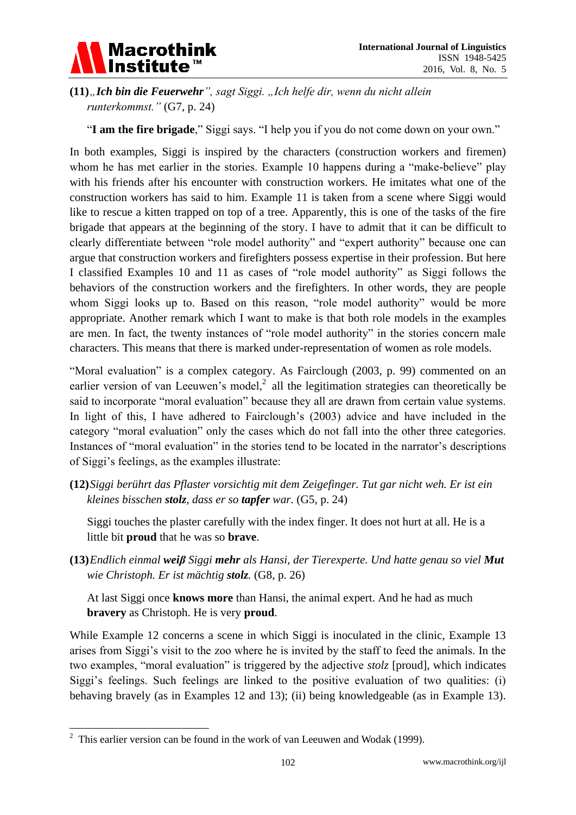

**(11)***"Ich bin die Feuerwehr", sagt Siggi. "Ich helfe dir, wenn du nicht allein runterkommst."* (G7, p. 24)

"**I am the fire brigade**," Siggi says. "I help you if you do not come down on your own."

In both examples, Siggi is inspired by the characters (construction workers and firemen) whom he has met earlier in the stories. Example 10 happens during a "make-believe" play with his friends after his encounter with construction workers. He imitates what one of the construction workers has said to him. Example 11 is taken from a scene where Siggi would like to rescue a kitten trapped on top of a tree. Apparently, this is one of the tasks of the fire brigade that appears at the beginning of the story. I have to admit that it can be difficult to clearly differentiate between "role model authority" and "expert authority" because one can argue that construction workers and firefighters possess expertise in their profession. But here I classified Examples 10 and 11 as cases of "role model authority" as Siggi follows the behaviors of the construction workers and the firefighters. In other words, they are people whom Siggi looks up to. Based on this reason, "role model authority" would be more appropriate. Another remark which I want to make is that both role models in the examples are men. In fact, the twenty instances of "role model authority" in the stories concern male characters. This means that there is marked under-representation of women as role models.

"Moral evaluation" is a complex category. As Fairclough (2003, p. 99) commented on an earlier version of van Leeuwen's model,<sup>2</sup> all the legitimation strategies can theoretically be said to incorporate "moral evaluation" because they all are drawn from certain value systems. In light of this, I have adhered to Fairclough's (2003) advice and have included in the category "moral evaluation" only the cases which do not fall into the other three categories. Instances of "moral evaluation" in the stories tend to be located in the narrator's descriptions of Siggi's feelings, as the examples illustrate:

**(12)***Siggi berührt das Pflaster vorsichtig mit dem Zeigefinger. Tut gar nicht weh. Er ist ein kleines bisschen stolz, dass er so tapfer war.* (G5, p. 24)

Siggi touches the plaster carefully with the index finger. It does not hurt at all. He is a little bit **proud** that he was so **brave**.

**(13)***Endlich einmal weiβ Siggi mehr als Hansi, der Tierexperte. Und hatte genau so viel Mut wie Christoph. Er ist mächtig stolz.* (G8, p. 26)

At last Siggi once **knows more** than Hansi, the animal expert. And he had as much **bravery** as Christoph. He is very **proud**.

While Example 12 concerns a scene in which Siggi is inoculated in the clinic, Example 13 arises from Siggi's visit to the zoo where he is invited by the staff to feed the animals. In the two examples, "moral evaluation" is triggered by the adjective *stolz* [proud], which indicates Siggi's feelings. Such feelings are linked to the positive evaluation of two qualities: (i) behaving bravely (as in Examples 12 and 13); (ii) being knowledgeable (as in Example 13).

<u>.</u>

<sup>&</sup>lt;sup>2</sup> This earlier version can be found in the work of van Leeuwen and Wodak (1999).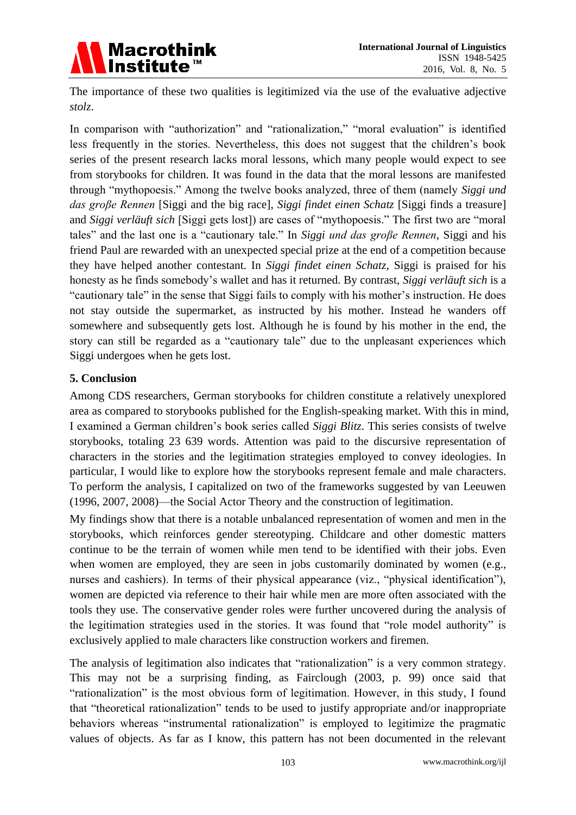

The importance of these two qualities is legitimized via the use of the evaluative adjective *stolz*.

In comparison with "authorization" and "rationalization," "moral evaluation" is identified less frequently in the stories. Nevertheless, this does not suggest that the children's book series of the present research lacks moral lessons, which many people would expect to see from storybooks for children. It was found in the data that the moral lessons are manifested through "mythopoesis." Among the twelve books analyzed, three of them (namely *Siggi und das groβe Rennen* [Siggi and the big race], *Siggi findet einen Schatz* [Siggi finds a treasure] and *Siggi verläuft sich* [Siggi gets lost]) are cases of "mythopoesis." The first two are "moral tales" and the last one is a "cautionary tale." In *Siggi und das groβe Rennen*, Siggi and his friend Paul are rewarded with an unexpected special prize at the end of a competition because they have helped another contestant. In *Siggi findet einen Schatz*, Siggi is praised for his honesty as he finds somebody's wallet and has it returned. By contrast, *Siggi verläuft sich* is a "cautionary tale" in the sense that Siggi fails to comply with his mother's instruction. He does not stay outside the supermarket, as instructed by his mother. Instead he wanders off somewhere and subsequently gets lost. Although he is found by his mother in the end, the story can still be regarded as a "cautionary tale" due to the unpleasant experiences which Siggi undergoes when he gets lost.

## **5. Conclusion**

Among CDS researchers, German storybooks for children constitute a relatively unexplored area as compared to storybooks published for the English-speaking market. With this in mind, I examined a German children's book series called *Siggi Blitz*. This series consists of twelve storybooks, totaling 23 639 words. Attention was paid to the discursive representation of characters in the stories and the legitimation strategies employed to convey ideologies. In particular, I would like to explore how the storybooks represent female and male characters. To perform the analysis, I capitalized on two of the frameworks suggested by van Leeuwen (1996, 2007, 2008)—the Social Actor Theory and the construction of legitimation.

My findings show that there is a notable unbalanced representation of women and men in the storybooks, which reinforces gender stereotyping. Childcare and other domestic matters continue to be the terrain of women while men tend to be identified with their jobs. Even when women are employed, they are seen in jobs customarily dominated by women (e.g., nurses and cashiers). In terms of their physical appearance (viz., "physical identification"), women are depicted via reference to their hair while men are more often associated with the tools they use. The conservative gender roles were further uncovered during the analysis of the legitimation strategies used in the stories. It was found that "role model authority" is exclusively applied to male characters like construction workers and firemen.

The analysis of legitimation also indicates that "rationalization" is a very common strategy. This may not be a surprising finding, as Fairclough (2003, p. 99) once said that "rationalization" is the most obvious form of legitimation. However, in this study, I found that "theoretical rationalization" tends to be used to justify appropriate and/or inappropriate behaviors whereas "instrumental rationalization" is employed to legitimize the pragmatic values of objects. As far as I know, this pattern has not been documented in the relevant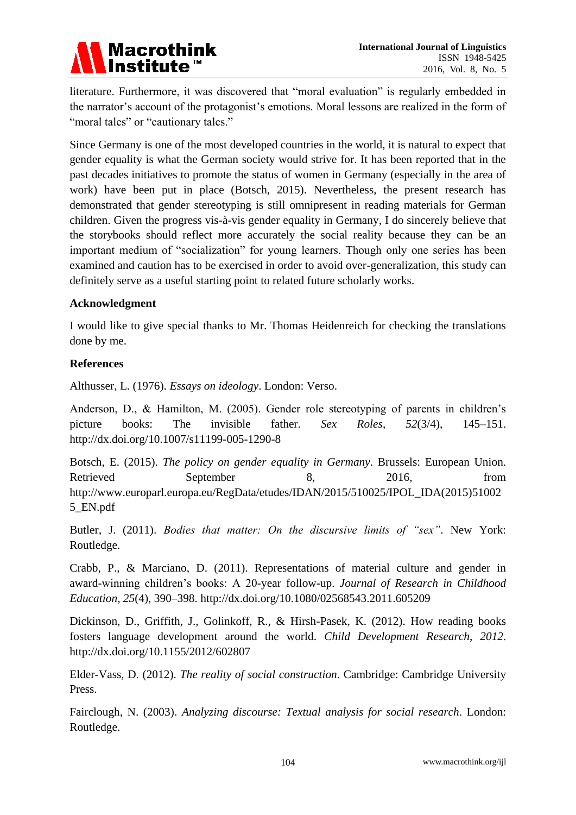

literature. Furthermore, it was discovered that "moral evaluation" is regularly embedded in the narrator's account of the protagonist's emotions. Moral lessons are realized in the form of "moral tales" or "cautionary tales."

Since Germany is one of the most developed countries in the world, it is natural to expect that gender equality is what the German society would strive for. It has been reported that in the past decades initiatives to promote the status of women in Germany (especially in the area of work) have been put in place (Botsch, 2015). Nevertheless, the present research has demonstrated that gender stereotyping is still omnipresent in reading materials for German children. Given the progress vis- $\lambda$ -vis gender equality in Germany, I do sincerely believe that the storybooks should reflect more accurately the social reality because they can be an important medium of "socialization" for young learners. Though only one series has been examined and caution has to be exercised in order to avoid over-generalization, this study can definitely serve as a useful starting point to related future scholarly works.

### **Acknowledgment**

I would like to give special thanks to Mr. Thomas Heidenreich for checking the translations done by me.

## **References**

Althusser, L. (1976). *Essays on ideology*. London: Verso.

Anderson, D., & Hamilton, M. (2005). Gender role stereotyping of parents in children's picture books: The invisible father. *Sex Roles*, *52*(3/4), 145–151. http://dx.doi.org/10.1007/s11199-005-1290-8

Botsch, E. (2015). *The policy on gender equality in Germany*. Brussels: European Union. Retrieved September 8, 2016, from http://www.europarl.europa.eu/RegData/etudes/IDAN/2015/510025/IPOL\_IDA(2015)51002 5\_EN.pdf

Butler, J. (2011). *Bodies that matter: On the discursive limits of "sex"*. New York: Routledge.

Crabb, P., & Marciano, D. (2011). Representations of material culture and gender in award-winning children's books: A 20-year follow-up. *Journal of Research in Childhood Education*, *25*(4), 390–398. http://dx.doi.org/10.1080/02568543.2011.605209

Dickinson, D., Griffith, J., Golinkoff, R., & Hirsh-Pasek, K. (2012). How reading books fosters language development around the world. *Child Development Research*, *2012*. http://dx.doi.org/10.1155/2012/602807

Elder-Vass, D. (2012). *The reality of social construction*. Cambridge: Cambridge University Press.

Fairclough, N. (2003). *Analyzing discourse: Textual analysis for social research*. London: Routledge.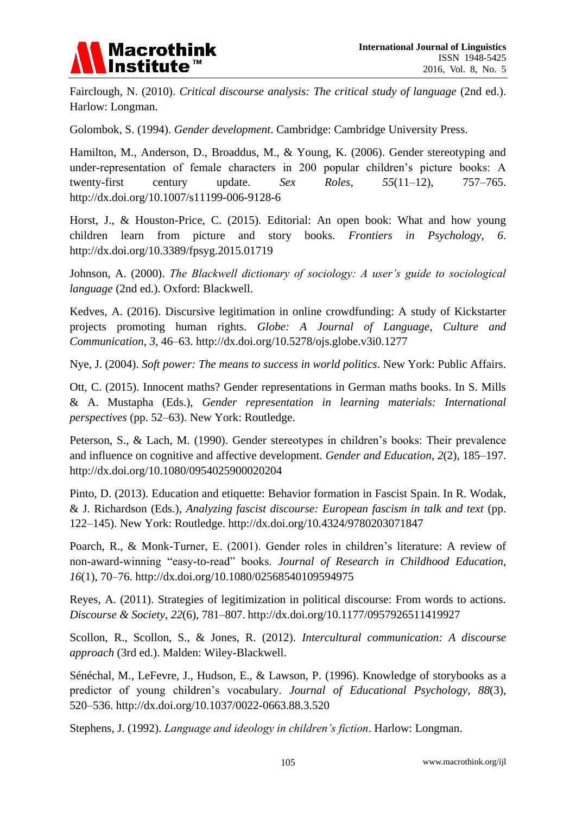

Fairclough, N. (2010). *Critical discourse analysis: The critical study of language* (2nd ed.). Harlow: Longman.

Golombok, S. (1994). *Gender development*. Cambridge: Cambridge University Press.

Hamilton, M., Anderson, D., Broaddus, M., & Young, K. (2006). Gender stereotyping and under-representation of female characters in 200 popular children's picture books: A twenty-first century update. *Sex Roles*, *55*(11–12), 757–765. http://dx.doi.org/10.1007/s11199-006-9128-6

Horst, J., & Houston-Price, C. (2015). Editorial: An open book: What and how young children learn from picture and story books. *Frontiers in Psychology*, *6*. http://dx.doi.org/10.3389/fpsyg.2015.01719

Johnson, A. (2000). *The Blackwell dictionary of sociology: A user's guide to sociological language* (2nd ed.). Oxford: Blackwell.

Kedves, A. (2016). Discursive legitimation in online crowdfunding: A study of Kickstarter projects promoting human rights. *Globe: A Journal of Language, Culture and Communication*, *3*, 46–63. http://dx.doi.org/10.5278/ojs.globe.v3i0.1277

Nye, J. (2004). *Soft power: The means to success in world politics*. New York: Public Affairs.

Ott, C. (2015). Innocent maths? Gender representations in German maths books. In S. Mills & A. Mustapha (Eds.), *Gender representation in learning materials: International perspectives* (pp. 52–63). New York: Routledge.

Peterson, S., & Lach, M. (1990). Gender stereotypes in children's books: Their prevalence and influence on cognitive and affective development. *Gender and Education*, *2*(2), 185–197. http://dx.doi.org/10.1080/0954025900020204

Pinto, D. (2013). Education and etiquette: Behavior formation in Fascist Spain. In R. Wodak, & J. Richardson (Eds.), *Analyzing fascist discourse: European fascism in talk and text* (pp. 122–145). New York: Routledge. http://dx.doi.org/10.4324/9780203071847

Poarch, R., & Monk-Turner, E. (2001). Gender roles in children's literature: A review of non-award-winning "easy-to-read" books. *Journal of Research in Childhood Education*, *16*(1), 70–76. http://dx.doi.org/10.1080/02568540109594975

Reyes, A. (2011). Strategies of legitimization in political discourse: From words to actions. *Discourse & Society*, *22*(6), 781–807. http://dx.doi.org/10.1177/0957926511419927

Scollon, R., Scollon, S., & Jones, R. (2012). *Intercultural communication: A discourse approach* (3rd ed.). Malden: Wiley-Blackwell.

S énéchal, M., LeFevre, J., Hudson, E., & Lawson, P. (1996). Knowledge of storybooks as a predictor of young children's vocabulary. *Journal of Educational Psychology*, *88*(3), 520–536. http://dx.doi.org/10.1037/0022-0663.88.3.520

Stephens, J. (1992). *Language and ideology in children's fiction*. Harlow: Longman.